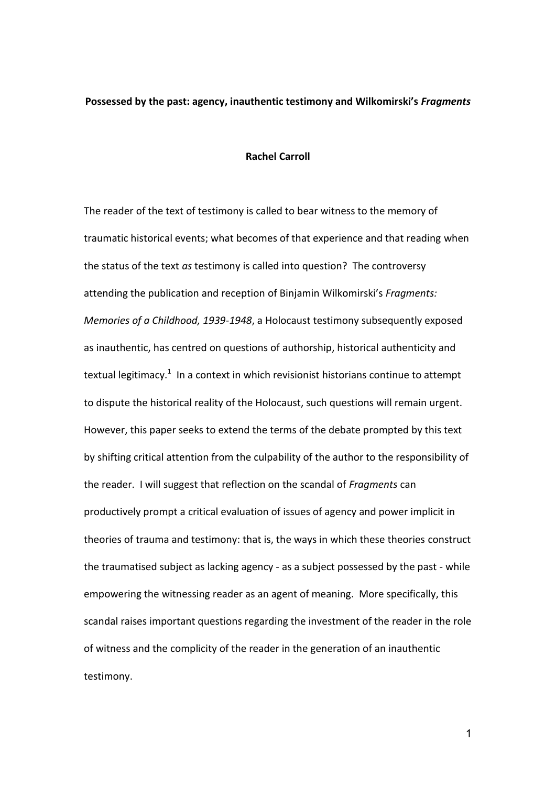## **Possessed by the past: agency, inauthentic testimony and Wilkomirski's** *Fragments*

#### **Rachel Carroll**

The reader of the text of testimony is called to bear witness to the memory of traumatic historical events; what becomes of that experience and that reading when the status of the text *as* testimony is called into question? The controversy attending the publication and reception of Binjamin Wilkomirski's *Fragments: Memories of a Childhood, 1939-1948*, a Holocaust testimony subsequently exposed as inauthentic, has centred on questions of authorship, historical authenticity and textual legitimacy.<sup>1</sup> In a context in which revisionist historians continue to attempt to dispute the historical reality of the Holocaust, such questions will remain urgent. However, this paper seeks to extend the terms of the debate prompted by this text by shifting critical attention from the culpability of the author to the responsibility of the reader. I will suggest that reflection on the scandal of *Fragments* can productively prompt a critical evaluation of issues of agency and power implicit in theories of trauma and testimony: that is, the ways in which these theories construct the traumatised subject as lacking agency - as a subject possessed by the past - while empowering the witnessing reader as an agent of meaning. More specifically, this scandal raises important questions regarding the investment of the reader in the role of witness and the complicity of the reader in the generation of an inauthentic testimony.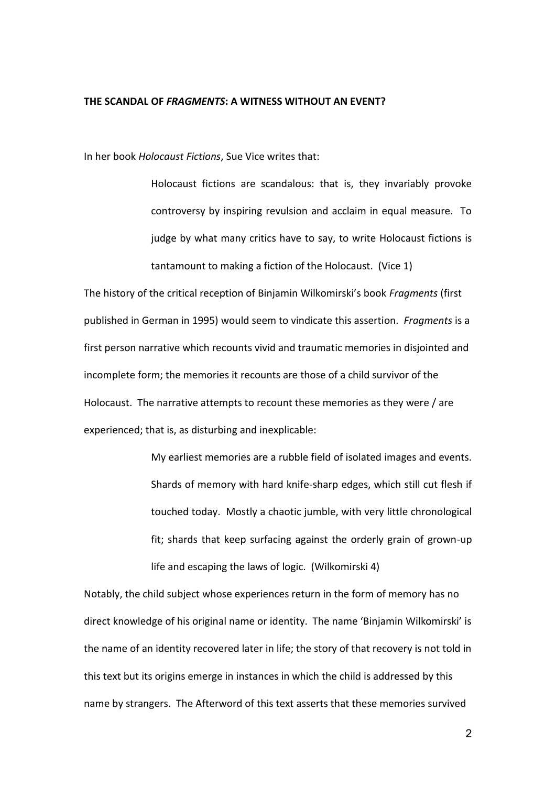#### **THE SCANDAL OF** *FRAGMENTS***: A WITNESS WITHOUT AN EVENT?**

In her book *Holocaust Fictions*, Sue Vice writes that:

Holocaust fictions are scandalous: that is, they invariably provoke controversy by inspiring revulsion and acclaim in equal measure. To judge by what many critics have to say, to write Holocaust fictions is tantamount to making a fiction of the Holocaust. (Vice 1)

The history of the critical reception of Binjamin Wilkomirski's book *Fragments* (first published in German in 1995) would seem to vindicate this assertion. *Fragments* is a first person narrative which recounts vivid and traumatic memories in disjointed and incomplete form; the memories it recounts are those of a child survivor of the Holocaust. The narrative attempts to recount these memories as they were / are experienced; that is, as disturbing and inexplicable:

> My earliest memories are a rubble field of isolated images and events. Shards of memory with hard knife-sharp edges, which still cut flesh if touched today. Mostly a chaotic jumble, with very little chronological fit; shards that keep surfacing against the orderly grain of grown-up life and escaping the laws of logic. (Wilkomirski 4)

Notably, the child subject whose experiences return in the form of memory has no direct knowledge of his original name or identity. The name 'Binjamin Wilkomirski' is the name of an identity recovered later in life; the story of that recovery is not told in this text but its origins emerge in instances in which the child is addressed by this name by strangers. The Afterword of this text asserts that these memories survived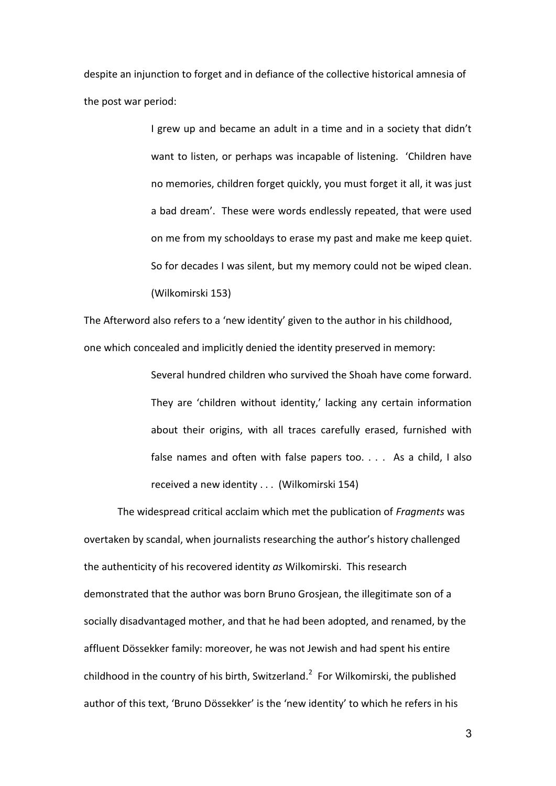despite an injunction to forget and in defiance of the collective historical amnesia of the post war period:

> I grew up and became an adult in a time and in a society that didn't want to listen, or perhaps was incapable of listening. 'Children have no memories, children forget quickly, you must forget it all, it was just a bad dream'. These were words endlessly repeated, that were used on me from my schooldays to erase my past and make me keep quiet. So for decades I was silent, but my memory could not be wiped clean. (Wilkomirski 153)

The Afterword also refers to a 'new identity' given to the author in his childhood, one which concealed and implicitly denied the identity preserved in memory:

> Several hundred children who survived the Shoah have come forward. They are 'children without identity,' lacking any certain information about their origins, with all traces carefully erased, furnished with false names and often with false papers too. . . . As a child, I also received a new identity . . . (Wilkomirski 154)

 The widespread critical acclaim which met the publication of *Fragments* was overtaken by scandal, when journalists researching the author's history challenged the authenticity of his recovered identity *as* Wilkomirski. This research demonstrated that the author was born Bruno Grosjean, the illegitimate son of a socially disadvantaged mother, and that he had been adopted, and renamed, by the affluent Dössekker family: moreover, he was not Jewish and had spent his entire childhood in the country of his birth, Switzerland.<sup>2</sup> For Wilkomirski, the published author of this text, 'Bruno Dössekker' is the 'new identity' to which he refers in his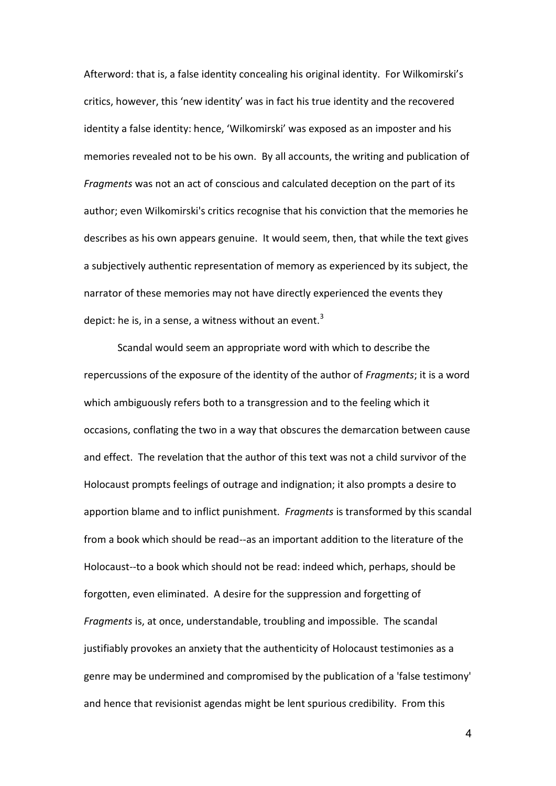Afterword: that is, a false identity concealing his original identity. For Wilkomirski's critics, however, this 'new identity' was in fact his true identity and the recovered identity a false identity: hence, 'Wilkomirski' was exposed as an imposter and his memories revealed not to be his own. By all accounts, the writing and publication of *Fragments* was not an act of conscious and calculated deception on the part of its author; even Wilkomirski's critics recognise that his conviction that the memories he describes as his own appears genuine. It would seem, then, that while the text gives a subjectively authentic representation of memory as experienced by its subject, the narrator of these memories may not have directly experienced the events they depict: he is, in a sense, a witness without an event. $3$ 

 Scandal would seem an appropriate word with which to describe the repercussions of the exposure of the identity of the author of *Fragments*; it is a word which ambiguously refers both to a transgression and to the feeling which it occasions, conflating the two in a way that obscures the demarcation between cause and effect. The revelation that the author of this text was not a child survivor of the Holocaust prompts feelings of outrage and indignation; it also prompts a desire to apportion blame and to inflict punishment. *Fragments* is transformed by this scandal from a book which should be read--as an important addition to the literature of the Holocaust--to a book which should not be read: indeed which, perhaps, should be forgotten, even eliminated. A desire for the suppression and forgetting of *Fragments* is, at once, understandable, troubling and impossible. The scandal justifiably provokes an anxiety that the authenticity of Holocaust testimonies as a genre may be undermined and compromised by the publication of a 'false testimony' and hence that revisionist agendas might be lent spurious credibility. From this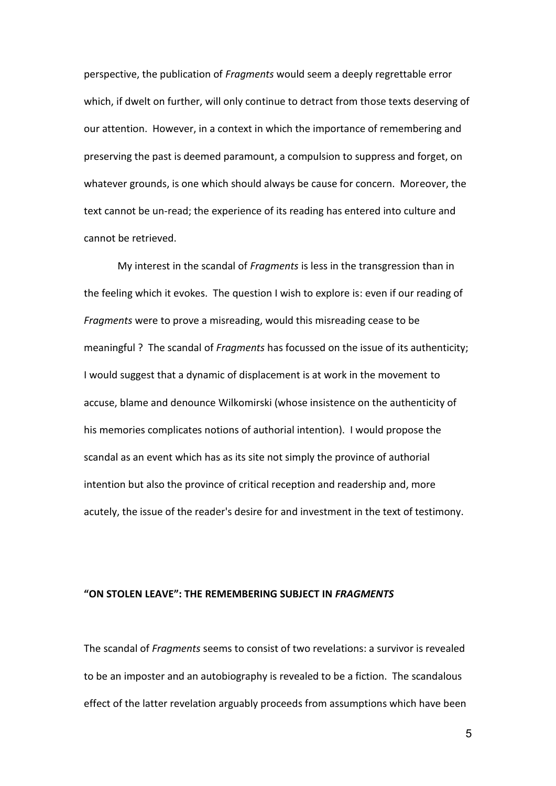perspective, the publication of *Fragments* would seem a deeply regrettable error which, if dwelt on further, will only continue to detract from those texts deserving of our attention. However, in a context in which the importance of remembering and preserving the past is deemed paramount, a compulsion to suppress and forget, on whatever grounds, is one which should always be cause for concern. Moreover, the text cannot be un-read; the experience of its reading has entered into culture and cannot be retrieved.

 My interest in the scandal of *Fragments* is less in the transgression than in the feeling which it evokes. The question I wish to explore is: even if our reading of *Fragments* were to prove a misreading, would this misreading cease to be meaningful ? The scandal of *Fragments* has focussed on the issue of its authenticity; I would suggest that a dynamic of displacement is at work in the movement to accuse, blame and denounce Wilkomirski (whose insistence on the authenticity of his memories complicates notions of authorial intention). I would propose the scandal as an event which has as its site not simply the province of authorial intention but also the province of critical reception and readership and, more acutely, the issue of the reader's desire for and investment in the text of testimony.

#### **"ON STOLEN LEAVE": THE REMEMBERING SUBJECT IN** *FRAGMENTS*

The scandal of *Fragments* seems to consist of two revelations: a survivor is revealed to be an imposter and an autobiography is revealed to be a fiction. The scandalous effect of the latter revelation arguably proceeds from assumptions which have been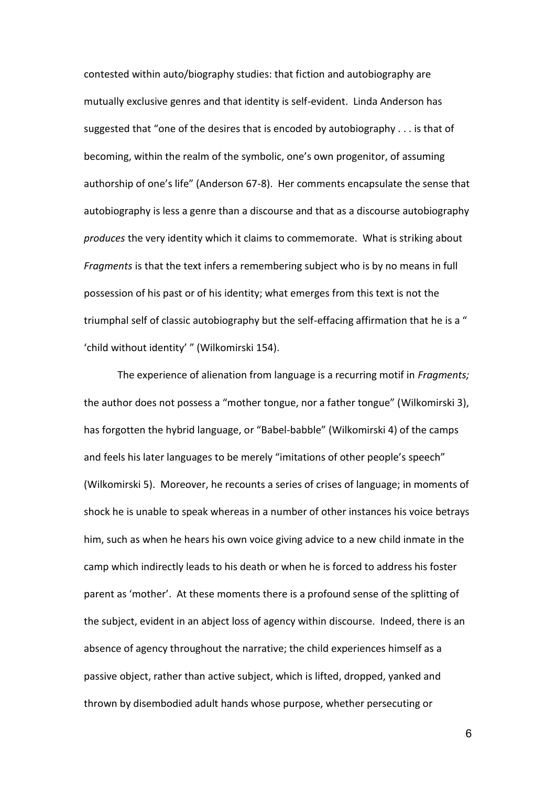contested within auto/biography studies: that fiction and autobiography are mutually exclusive genres and that identity is self-evident. Linda Anderson has suggested that "one of the desires that is encoded by autobiography . . . is that of becoming, within the realm of the symbolic, one's own progenitor, of assuming authorship of one's life" (Anderson 67-8). Her comments encapsulate the sense that autobiography is less a genre than a discourse and that as a discourse autobiography *produces* the very identity which it claims to commemorate. What is striking about *Fragments* is that the text infers a remembering subject who is by no means in full possession of his past or of his identity; what emerges from this text is not the triumphal self of classic autobiography but the self-effacing affirmation that he is a " 'child without identity' " (Wilkomirski 154).

 The experience of alienation from language is a recurring motif in *Fragments;* the author does not possess a "mother tongue, nor a father tongue" (Wilkomirski 3), has forgotten the hybrid language, or "Babel-babble" (Wilkomirski 4) of the camps and feels his later languages to be merely "imitations of other people's speech" (Wilkomirski 5). Moreover, he recounts a series of crises of language; in moments of shock he is unable to speak whereas in a number of other instances his voice betrays him, such as when he hears his own voice giving advice to a new child inmate in the camp which indirectly leads to his death or when he is forced to address his foster parent as 'mother'. At these moments there is a profound sense of the splitting of the subject, evident in an abject loss of agency within discourse. Indeed, there is an absence of agency throughout the narrative; the child experiences himself as a passive object, rather than active subject, which is lifted, dropped, yanked and thrown by disembodied adult hands whose purpose, whether persecuting or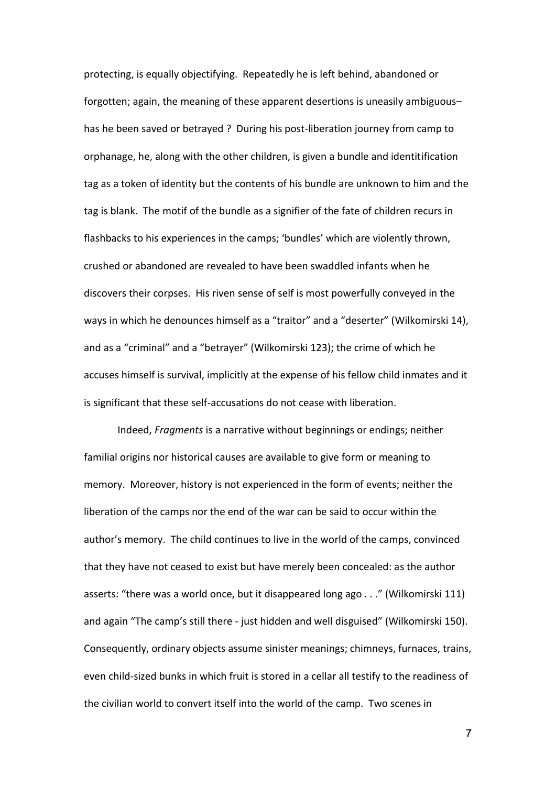protecting, is equally objectifying. Repeatedly he is left behind, abandoned or forgotten; again, the meaning of these apparent desertions is uneasily ambiguous– has he been saved or betrayed ? During his post-liberation journey from camp to orphanage, he, along with the other children, is given a bundle and identitification tag as a token of identity but the contents of his bundle are unknown to him and the tag is blank. The motif of the bundle as a signifier of the fate of children recurs in flashbacks to his experiences in the camps; 'bundles' which are violently thrown, crushed or abandoned are revealed to have been swaddled infants when he discovers their corpses. His riven sense of self is most powerfully conveyed in the ways in which he denounces himself as a "traitor" and a "deserter" (Wilkomirski 14), and as a "criminal" and a "betrayer" (Wilkomirski 123); the crime of which he accuses himself is survival, implicitly at the expense of his fellow child inmates and it is significant that these self-accusations do not cease with liberation.

 Indeed, *Fragments* is a narrative without beginnings or endings; neither familial origins nor historical causes are available to give form or meaning to memory. Moreover, history is not experienced in the form of events; neither the liberation of the camps nor the end of the war can be said to occur within the author's memory. The child continues to live in the world of the camps, convinced that they have not ceased to exist but have merely been concealed: as the author asserts: "there was a world once, but it disappeared long ago . . ." (Wilkomirski 111) and again "The camp's still there - just hidden and well disguised" (Wilkomirski 150). Consequently, ordinary objects assume sinister meanings; chimneys, furnaces, trains, even child-sized bunks in which fruit is stored in a cellar all testify to the readiness of the civilian world to convert itself into the world of the camp. Two scenes in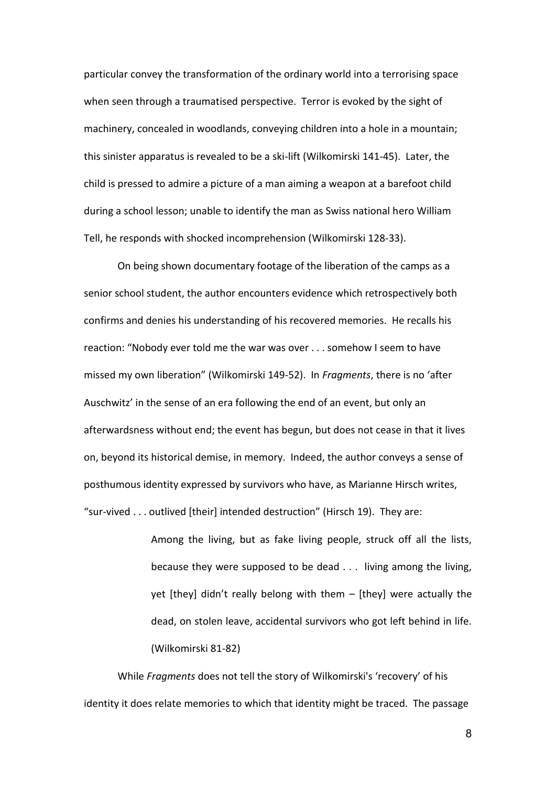particular convey the transformation of the ordinary world into a terrorising space when seen through a traumatised perspective. Terror is evoked by the sight of machinery, concealed in woodlands, conveying children into a hole in a mountain; this sinister apparatus is revealed to be a ski-lift (Wilkomirski 141-45). Later, the child is pressed to admire a picture of a man aiming a weapon at a barefoot child during a school lesson; unable to identify the man as Swiss national hero William Tell, he responds with shocked incomprehension (Wilkomirski 128-33).

On being shown documentary footage of the liberation of the camps as a senior school student, the author encounters evidence which retrospectively both confirms and denies his understanding of his recovered memories. He recalls his reaction: "Nobody ever told me the war was over . . . somehow I seem to have missed my own liberation" (Wilkomirski 149-52). In *Fragments*, there is no 'after Auschwitz' in the sense of an era following the end of an event, but only an afterwardsness without end; the event has begun, but does not cease in that it lives on, beyond its historical demise, in memory. Indeed, the author conveys a sense of posthumous identity expressed by survivors who have, as Marianne Hirsch writes, "sur-vived  $\ldots$  outlived [their] intended destruction" (Hirsch 19). They are:

> Among the living, but as fake living people, struck off all the lists, because they were supposed to be dead . . . living among the living, yet [they] didn't really belong with them – [they] were actually the dead, on stolen leave, accidental survivors who got left behind in life. (Wilkomirski 81-82)

 While *Fragments* does not tell the story of Wilkomirski's 'recovery' of his identity it does relate memories to which that identity might be traced. The passage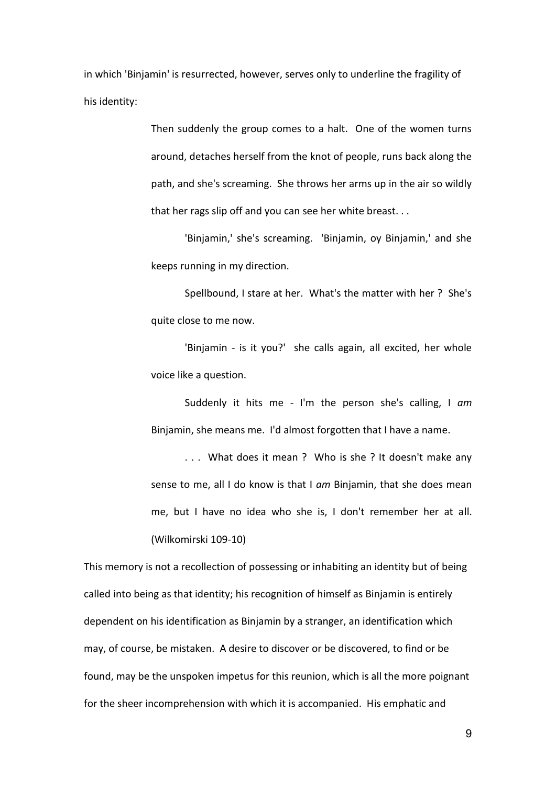in which 'Binjamin' is resurrected, however, serves only to underline the fragility of his identity:

> Then suddenly the group comes to a halt. One of the women turns around, detaches herself from the knot of people, runs back along the path, and she's screaming. She throws her arms up in the air so wildly that her rags slip off and you can see her white breast. . .

> 'Binjamin,' she's screaming. 'Binjamin, oy Binjamin,' and she keeps running in my direction.

> Spellbound, I stare at her. What's the matter with her ? She's quite close to me now.

> 'Binjamin - is it you?' she calls again, all excited, her whole voice like a question.

> Suddenly it hits me - I'm the person she's calling, I *am* Binjamin, she means me. I'd almost forgotten that I have a name.

> . . . What does it mean ? Who is she ? It doesn't make any sense to me, all I do know is that I *am* Binjamin, that she does mean me, but I have no idea who she is, I don't remember her at all. (Wilkomirski 109-10)

This memory is not a recollection of possessing or inhabiting an identity but of being called into being as that identity; his recognition of himself as Binjamin is entirely dependent on his identification as Binjamin by a stranger, an identification which may, of course, be mistaken. A desire to discover or be discovered, to find or be found, may be the unspoken impetus for this reunion, which is all the more poignant for the sheer incomprehension with which it is accompanied. His emphatic and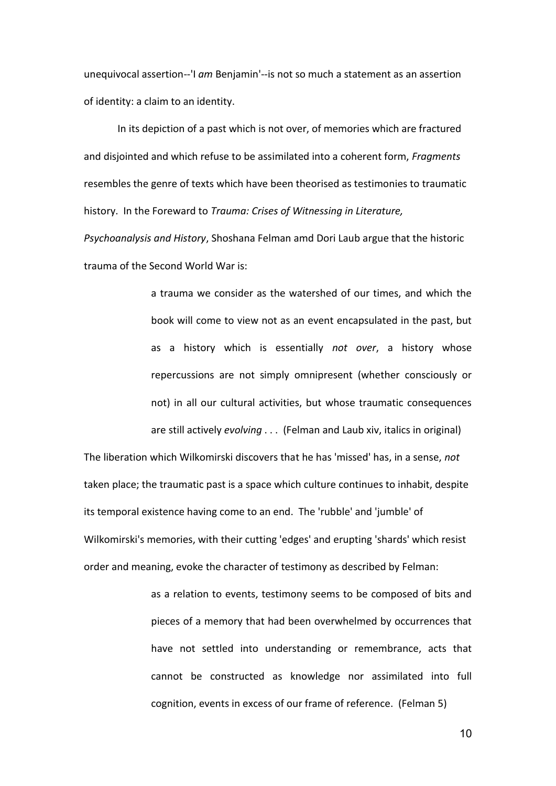unequivocal assertion--'I *am* Benjamin'--is not so much a statement as an assertion of identity: a claim to an identity.

 In its depiction of a past which is not over, of memories which are fractured and disjointed and which refuse to be assimilated into a coherent form, *Fragments* resembles the genre of texts which have been theorised as testimonies to traumatic history. In the Foreward to *Trauma: Crises of Witnessing in Literature,* 

*Psychoanalysis and History*, Shoshana Felman amd Dori Laub argue that the historic trauma of the Second World War is:

> a trauma we consider as the watershed of our times, and which the book will come to view not as an event encapsulated in the past, but as a history which is essentially *not over*, a history whose repercussions are not simply omnipresent (whether consciously or not) in all our cultural activities, but whose traumatic consequences are still actively *evolving* . . . (Felman and Laub xiv, italics in original)

The liberation which Wilkomirski discovers that he has 'missed' has, in a sense, *not* taken place; the traumatic past is a space which culture continues to inhabit, despite its temporal existence having come to an end. The 'rubble' and 'jumble' of Wilkomirski's memories, with their cutting 'edges' and erupting 'shards' which resist order and meaning, evoke the character of testimony as described by Felman:

> as a relation to events, testimony seems to be composed of bits and pieces of a memory that had been overwhelmed by occurrences that have not settled into understanding or remembrance, acts that cannot be constructed as knowledge nor assimilated into full cognition, events in excess of our frame of reference. (Felman 5)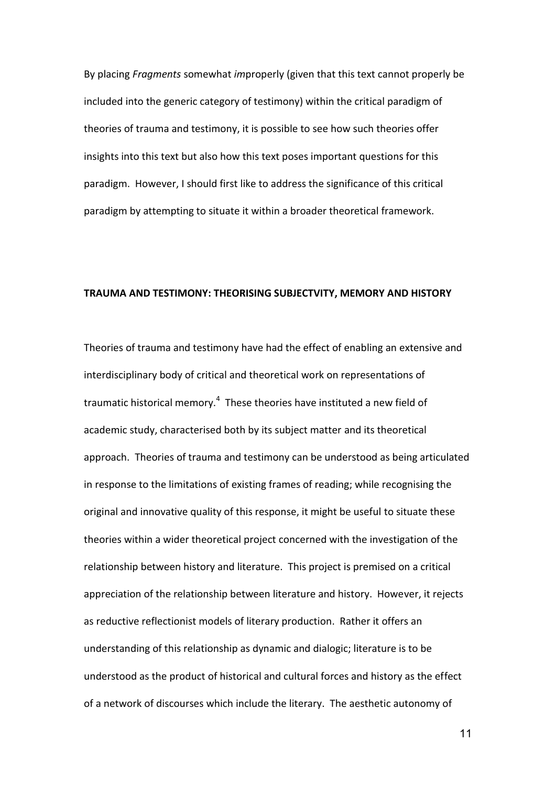By placing *Fragments* somewhat *im*properly (given that this text cannot properly be included into the generic category of testimony) within the critical paradigm of theories of trauma and testimony, it is possible to see how such theories offer insights into this text but also how this text poses important questions for this paradigm. However, I should first like to address the significance of this critical paradigm by attempting to situate it within a broader theoretical framework.

### **TRAUMA AND TESTIMONY: THEORISING SUBJECTVITY, MEMORY AND HISTORY**

Theories of trauma and testimony have had the effect of enabling an extensive and interdisciplinary body of critical and theoretical work on representations of traumatic historical memory.<sup>4</sup> These theories have instituted a new field of academic study, characterised both by its subject matter and its theoretical approach. Theories of trauma and testimony can be understood as being articulated in response to the limitations of existing frames of reading; while recognising the original and innovative quality of this response, it might be useful to situate these theories within a wider theoretical project concerned with the investigation of the relationship between history and literature. This project is premised on a critical appreciation of the relationship between literature and history. However, it rejects as reductive reflectionist models of literary production. Rather it offers an understanding of this relationship as dynamic and dialogic; literature is to be understood as the product of historical and cultural forces and history as the effect of a network of discourses which include the literary. The aesthetic autonomy of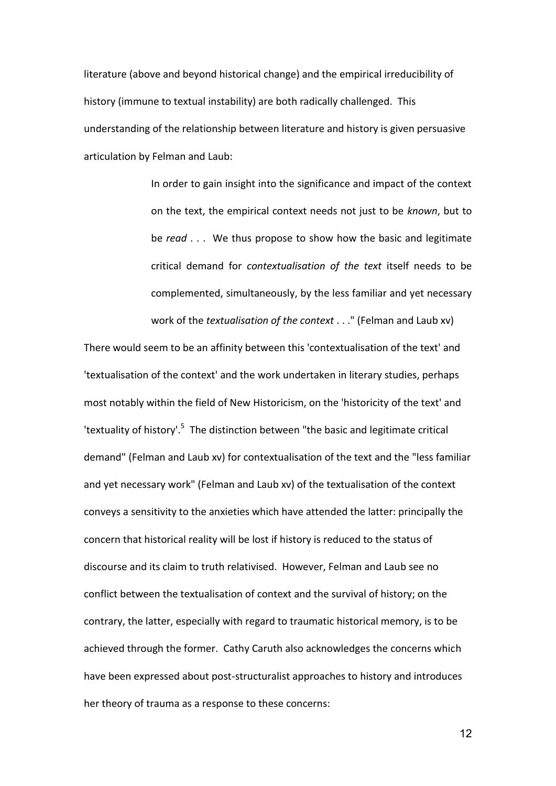literature (above and beyond historical change) and the empirical irreducibility of history (immune to textual instability) are both radically challenged. This understanding of the relationship between literature and history is given persuasive articulation by Felman and Laub:

> In order to gain insight into the significance and impact of the context on the text, the empirical context needs not just to be *known*, but to be *read* . . . We thus propose to show how the basic and legitimate critical demand for *contextualisation of the text* itself needs to be complemented, simultaneously, by the less familiar and yet necessary work of the *textualisation of the context* . . ." (Felman and Laub xv)

There would seem to be an affinity between this 'contextualisation of the text' and 'textualisation of the context' and the work undertaken in literary studies, perhaps most notably within the field of New Historicism, on the 'historicity of the text' and 'textuality of history'.<sup>5</sup> The distinction between "the basic and legitimate critical demand" (Felman and Laub xv) for contextualisation of the text and the "less familiar and yet necessary work" (Felman and Laub xv) of the textualisation of the context conveys a sensitivity to the anxieties which have attended the latter: principally the concern that historical reality will be lost if history is reduced to the status of discourse and its claim to truth relativised. However, Felman and Laub see no conflict between the textualisation of context and the survival of history; on the contrary, the latter, especially with regard to traumatic historical memory, is to be achieved through the former. Cathy Caruth also acknowledges the concerns which have been expressed about post-structuralist approaches to history and introduces her theory of trauma as a response to these concerns: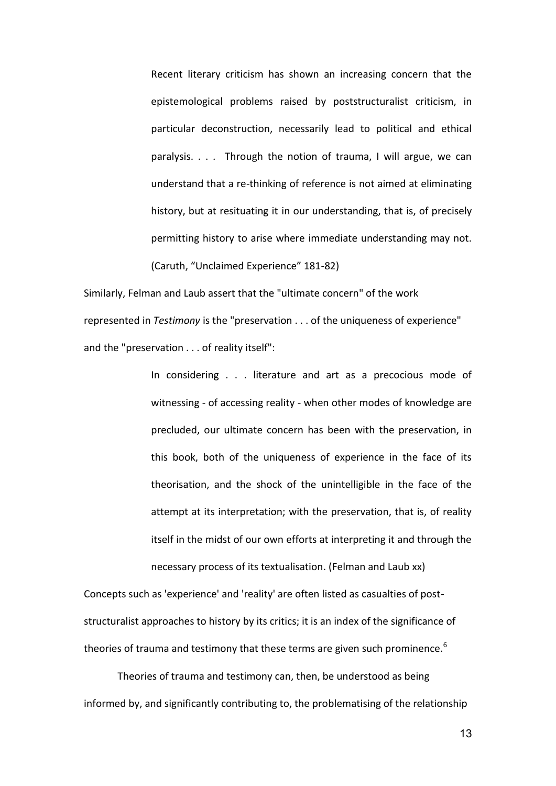Recent literary criticism has shown an increasing concern that the epistemological problems raised by poststructuralist criticism, in particular deconstruction, necessarily lead to political and ethical paralysis. . . . Through the notion of trauma, I will argue, we can understand that a re-thinking of reference is not aimed at eliminating history, but at resituating it in our understanding, that is, of precisely permitting history to arise where immediate understanding may not. (Caruth, "Unclaimed Experience" 181-82)

Similarly, Felman and Laub assert that the "ultimate concern" of the work represented in *Testimony* is the "preservation . . . of the uniqueness of experience" and the "preservation . . . of reality itself":

> In considering . . . literature and art as a precocious mode of witnessing - of accessing reality - when other modes of knowledge are precluded, our ultimate concern has been with the preservation, in this book, both of the uniqueness of experience in the face of its theorisation, and the shock of the unintelligible in the face of the attempt at its interpretation; with the preservation, that is, of reality itself in the midst of our own efforts at interpreting it and through the necessary process of its textualisation. (Felman and Laub xx)

Concepts such as 'experience' and 'reality' are often listed as casualties of poststructuralist approaches to history by its critics; it is an index of the significance of theories of trauma and testimony that these terms are given such prominence.<sup>6</sup>

 Theories of trauma and testimony can, then, be understood as being informed by, and significantly contributing to, the problematising of the relationship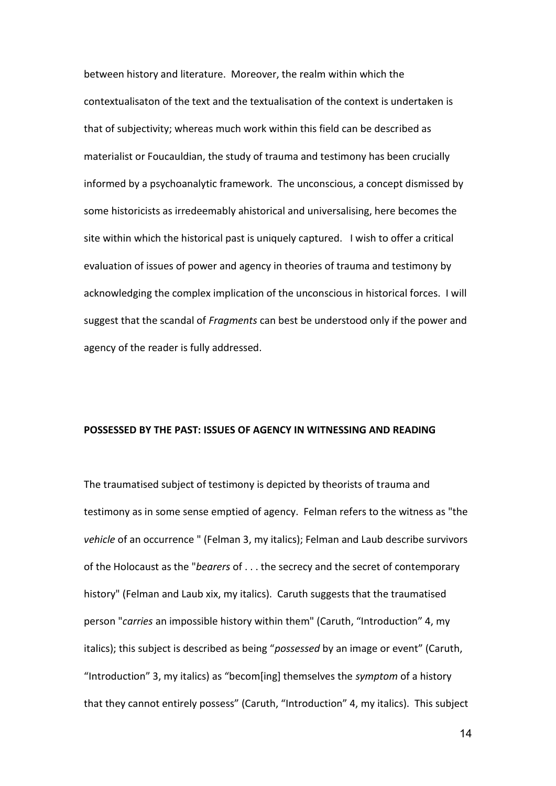between history and literature. Moreover, the realm within which the contextualisaton of the text and the textualisation of the context is undertaken is that of subjectivity; whereas much work within this field can be described as materialist or Foucauldian, the study of trauma and testimony has been crucially informed by a psychoanalytic framework. The unconscious, a concept dismissed by some historicists as irredeemably ahistorical and universalising, here becomes the site within which the historical past is uniquely captured. I wish to offer a critical evaluation of issues of power and agency in theories of trauma and testimony by acknowledging the complex implication of the unconscious in historical forces. I will suggest that the scandal of *Fragments* can best be understood only if the power and agency of the reader is fully addressed.

## **POSSESSED BY THE PAST: ISSUES OF AGENCY IN WITNESSING AND READING**

The traumatised subject of testimony is depicted by theorists of trauma and testimony as in some sense emptied of agency. Felman refers to the witness as "the *vehicle* of an occurrence " (Felman 3, my italics); Felman and Laub describe survivors of the Holocaust as the "*bearers* of . . . the secrecy and the secret of contemporary history" (Felman and Laub xix, my italics). Caruth suggests that the traumatised person "*carries* an impossible history within them" (Caruth, "Introduction" 4, my italics); this subject is described as being "*possessed* by an image or event" (Caruth, "Introduction" 3, my italics) as "becom\*ing+ themselves the *symptom* of a history that they cannot entirely possess" (Caruth, "Introduction" 4, my italics). This subject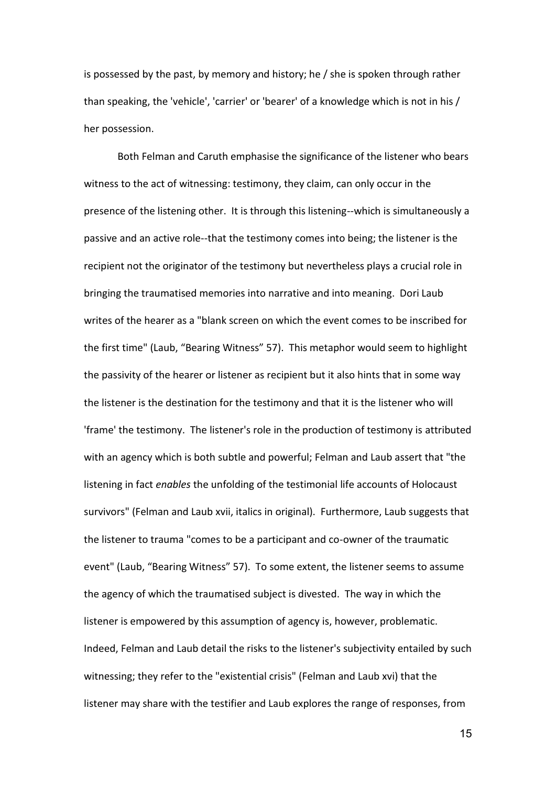is possessed by the past, by memory and history; he / she is spoken through rather than speaking, the 'vehicle', 'carrier' or 'bearer' of a knowledge which is not in his / her possession.

 Both Felman and Caruth emphasise the significance of the listener who bears witness to the act of witnessing: testimony, they claim, can only occur in the presence of the listening other. It is through this listening--which is simultaneously a passive and an active role--that the testimony comes into being; the listener is the recipient not the originator of the testimony but nevertheless plays a crucial role in bringing the traumatised memories into narrative and into meaning. Dori Laub writes of the hearer as a "blank screen on which the event comes to be inscribed for the first time" (Laub, "Bearing Witness" 57). This metaphor would seem to highlight the passivity of the hearer or listener as recipient but it also hints that in some way the listener is the destination for the testimony and that it is the listener who will 'frame' the testimony. The listener's role in the production of testimony is attributed with an agency which is both subtle and powerful; Felman and Laub assert that "the listening in fact *enables* the unfolding of the testimonial life accounts of Holocaust survivors" (Felman and Laub xvii, italics in original). Furthermore, Laub suggests that the listener to trauma "comes to be a participant and co-owner of the traumatic event" (Laub, "Bearing Witness" 57). To some extent, the listener seems to assume the agency of which the traumatised subject is divested. The way in which the listener is empowered by this assumption of agency is, however, problematic. Indeed, Felman and Laub detail the risks to the listener's subjectivity entailed by such witnessing; they refer to the "existential crisis" (Felman and Laub xvi) that the listener may share with the testifier and Laub explores the range of responses, from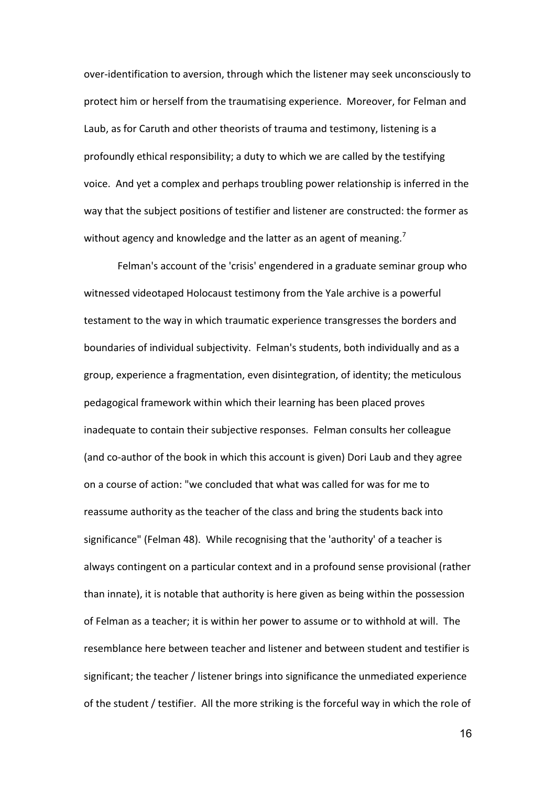over-identification to aversion, through which the listener may seek unconsciously to protect him or herself from the traumatising experience. Moreover, for Felman and Laub, as for Caruth and other theorists of trauma and testimony, listening is a profoundly ethical responsibility; a duty to which we are called by the testifying voice. And yet a complex and perhaps troubling power relationship is inferred in the way that the subject positions of testifier and listener are constructed: the former as without agency and knowledge and the latter as an agent of meaning.<sup>7</sup>

Felman's account of the 'crisis' engendered in a graduate seminar group who witnessed videotaped Holocaust testimony from the Yale archive is a powerful testament to the way in which traumatic experience transgresses the borders and boundaries of individual subjectivity. Felman's students, both individually and as a group, experience a fragmentation, even disintegration, of identity; the meticulous pedagogical framework within which their learning has been placed proves inadequate to contain their subjective responses. Felman consults her colleague (and co-author of the book in which this account is given) Dori Laub and they agree on a course of action: "we concluded that what was called for was for me to reassume authority as the teacher of the class and bring the students back into significance" (Felman 48). While recognising that the 'authority' of a teacher is always contingent on a particular context and in a profound sense provisional (rather than innate), it is notable that authority is here given as being within the possession of Felman as a teacher; it is within her power to assume or to withhold at will. The resemblance here between teacher and listener and between student and testifier is significant; the teacher / listener brings into significance the unmediated experience of the student / testifier. All the more striking is the forceful way in which the role of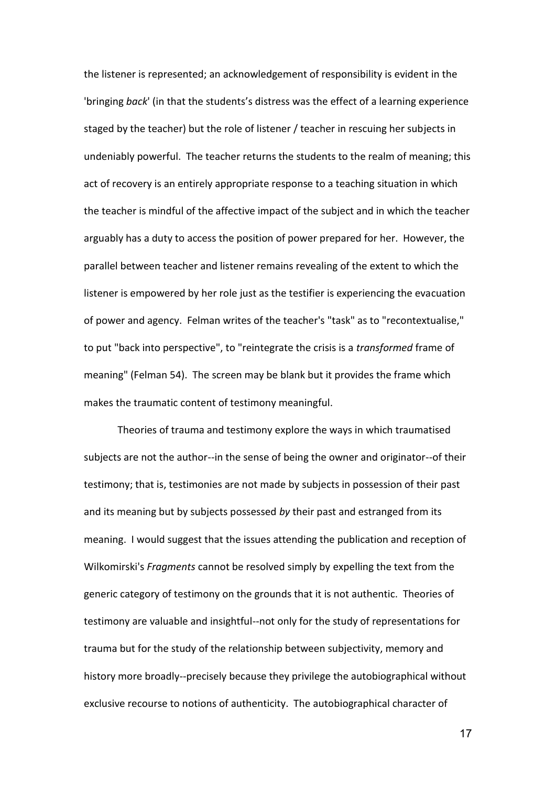the listener is represented; an acknowledgement of responsibility is evident in the 'bringing *back*' (in that the students's distress was the effect of a learning experience staged by the teacher) but the role of listener / teacher in rescuing her subjects in undeniably powerful. The teacher returns the students to the realm of meaning; this act of recovery is an entirely appropriate response to a teaching situation in which the teacher is mindful of the affective impact of the subject and in which the teacher arguably has a duty to access the position of power prepared for her. However, the parallel between teacher and listener remains revealing of the extent to which the listener is empowered by her role just as the testifier is experiencing the evacuation of power and agency. Felman writes of the teacher's "task" as to "recontextualise," to put "back into perspective", to "reintegrate the crisis is a *transformed* frame of meaning" (Felman 54). The screen may be blank but it provides the frame which makes the traumatic content of testimony meaningful.

Theories of trauma and testimony explore the ways in which traumatised subjects are not the author--in the sense of being the owner and originator--of their testimony; that is, testimonies are not made by subjects in possession of their past and its meaning but by subjects possessed *by* their past and estranged from its meaning. I would suggest that the issues attending the publication and reception of Wilkomirski's *Fragments* cannot be resolved simply by expelling the text from the generic category of testimony on the grounds that it is not authentic. Theories of testimony are valuable and insightful--not only for the study of representations for trauma but for the study of the relationship between subjectivity, memory and history more broadly--precisely because they privilege the autobiographical without exclusive recourse to notions of authenticity. The autobiographical character of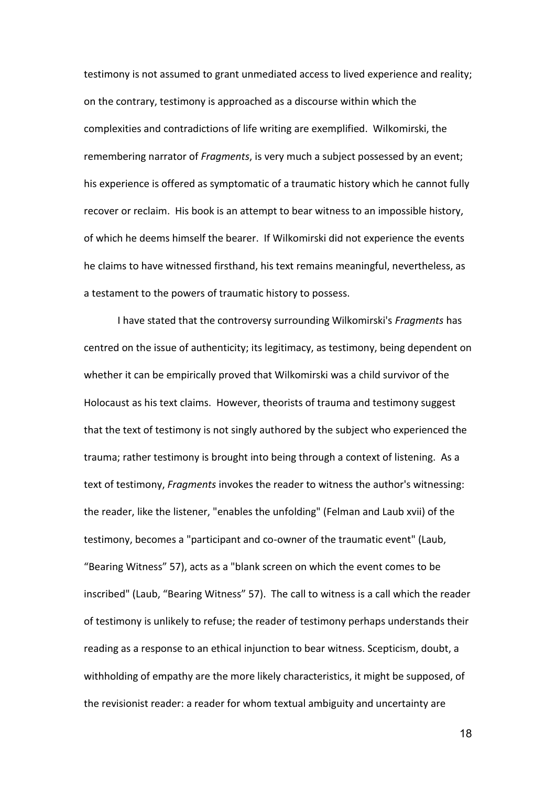testimony is not assumed to grant unmediated access to lived experience and reality; on the contrary, testimony is approached as a discourse within which the complexities and contradictions of life writing are exemplified. Wilkomirski, the remembering narrator of *Fragments*, is very much a subject possessed by an event; his experience is offered as symptomatic of a traumatic history which he cannot fully recover or reclaim. His book is an attempt to bear witness to an impossible history, of which he deems himself the bearer. If Wilkomirski did not experience the events he claims to have witnessed firsthand, his text remains meaningful, nevertheless, as a testament to the powers of traumatic history to possess.

I have stated that the controversy surrounding Wilkomirski's *Fragments* has centred on the issue of authenticity; its legitimacy, as testimony, being dependent on whether it can be empirically proved that Wilkomirski was a child survivor of the Holocaust as his text claims. However, theorists of trauma and testimony suggest that the text of testimony is not singly authored by the subject who experienced the trauma; rather testimony is brought into being through a context of listening. As a text of testimony, *Fragments* invokes the reader to witness the author's witnessing: the reader, like the listener, "enables the unfolding" (Felman and Laub xvii) of the testimony, becomes a "participant and co-owner of the traumatic event" (Laub, "Bearing Witness" 57), acts as a "blank screen on which the event comes to be inscribed" (Laub, "Bearing Witness" 57). The call to witness is a call which the reader of testimony is unlikely to refuse; the reader of testimony perhaps understands their reading as a response to an ethical injunction to bear witness. Scepticism, doubt, a withholding of empathy are the more likely characteristics, it might be supposed, of the revisionist reader: a reader for whom textual ambiguity and uncertainty are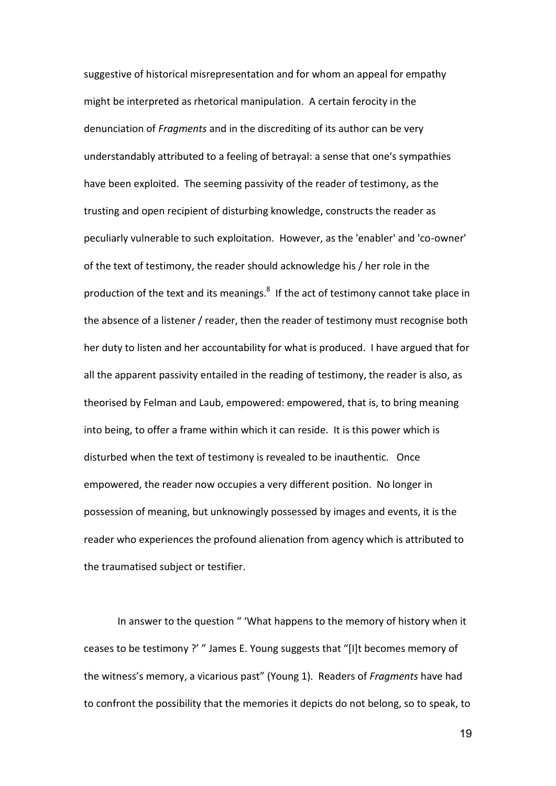suggestive of historical misrepresentation and for whom an appeal for empathy might be interpreted as rhetorical manipulation. A certain ferocity in the denunciation of *Fragments* and in the discrediting of its author can be very understandably attributed to a feeling of betrayal: a sense that one's sympathies have been exploited. The seeming passivity of the reader of testimony, as the trusting and open recipient of disturbing knowledge, constructs the reader as peculiarly vulnerable to such exploitation. However, as the 'enabler' and 'co-owner' of the text of testimony, the reader should acknowledge his / her role in the production of the text and its meanings.<sup>8</sup> If the act of testimony cannot take place in the absence of a listener / reader, then the reader of testimony must recognise both her duty to listen and her accountability for what is produced. I have argued that for all the apparent passivity entailed in the reading of testimony, the reader is also, as theorised by Felman and Laub, empowered: empowered, that is, to bring meaning into being, to offer a frame within which it can reside. It is this power which is disturbed when the text of testimony is revealed to be inauthentic. Once empowered, the reader now occupies a very different position. No longer in possession of meaning, but unknowingly possessed by images and events, it is the reader who experiences the profound alienation from agency which is attributed to the traumatised subject or testifier.

In answer to the question " 'What happens to the memory of history when it ceases to be testimony ?' " James E. Young suggests that "[I]t becomes memory of the witness's memory, a vicarious past" (Young 1). Readers of *Fragments* have had to confront the possibility that the memories it depicts do not belong, so to speak, to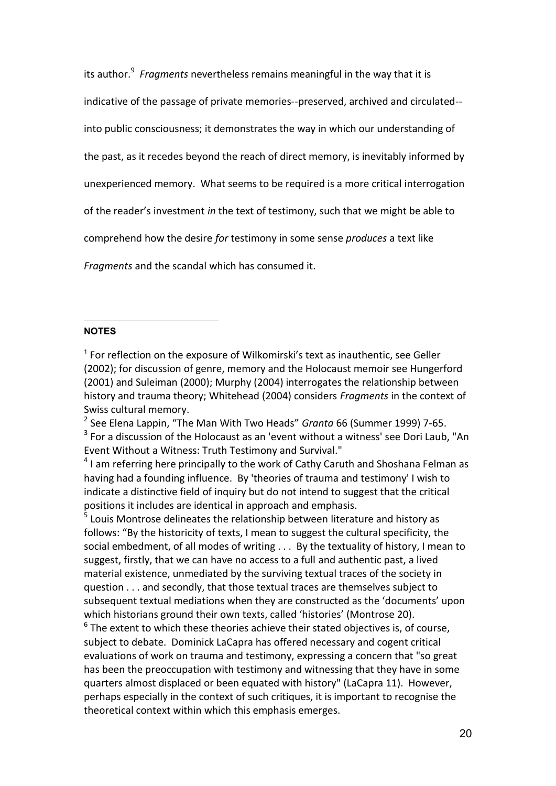its author.<sup>9</sup> Fragments nevertheless remains meaningful in the way that it is indicative of the passage of private memories--preserved, archived and circulated- into public consciousness; it demonstrates the way in which our understanding of the past, as it recedes beyond the reach of direct memory, is inevitably informed by unexperienced memory. What seems to be required is a more critical interrogation of the reader's investment *in* the text of testimony, such that we might be able to comprehend how the desire *for* testimony in some sense *produces* a text like *Fragments* and the scandal which has consumed it.

## $\overline{a}$ **NOTES**

2 See Elena Lappin, "The Man With Two Heads" *Granta* 66 (Summer 1999) 7-65.  $3$  For a discussion of the Holocaust as an 'event without a witness' see Dori Laub, "An Event Without a Witness: Truth Testimony and Survival."

 $<sup>4</sup>$  I am referring here principally to the work of Cathy Caruth and Shoshana Felman as</sup> having had a founding influence. By 'theories of trauma and testimony' I wish to indicate a distinctive field of inquiry but do not intend to suggest that the critical positions it includes are identical in approach and emphasis.

<sup>5</sup> Louis Montrose delineates the relationship between literature and history as follows: "By the historicity of texts, I mean to suggest the cultural specificity, the social embedment, of all modes of writing . . . By the textuality of history, I mean to suggest, firstly, that we can have no access to a full and authentic past, a lived material existence, unmediated by the surviving textual traces of the society in question . . . and secondly, that those textual traces are themselves subject to subsequent textual mediations when they are constructed as the 'documents' upon which historians ground their own texts, called 'histories' (Montrose 20).

 $<sup>6</sup>$  The extent to which these theories achieve their stated objectives is, of course,</sup> subject to debate. Dominick LaCapra has offered necessary and cogent critical evaluations of work on trauma and testimony, expressing a concern that "so great has been the preoccupation with testimony and witnessing that they have in some quarters almost displaced or been equated with history" (LaCapra 11). However, perhaps especially in the context of such critiques, it is important to recognise the theoretical context within which this emphasis emerges.

<sup>&</sup>lt;sup>1</sup> For reflection on the exposure of Wilkomirski's text as inauthentic, see Geller (2002); for discussion of genre, memory and the Holocaust memoir see Hungerford (2001) and Suleiman (2000); Murphy (2004) interrogates the relationship between history and trauma theory; Whitehead (2004) considers *Fragments* in the context of Swiss cultural memory.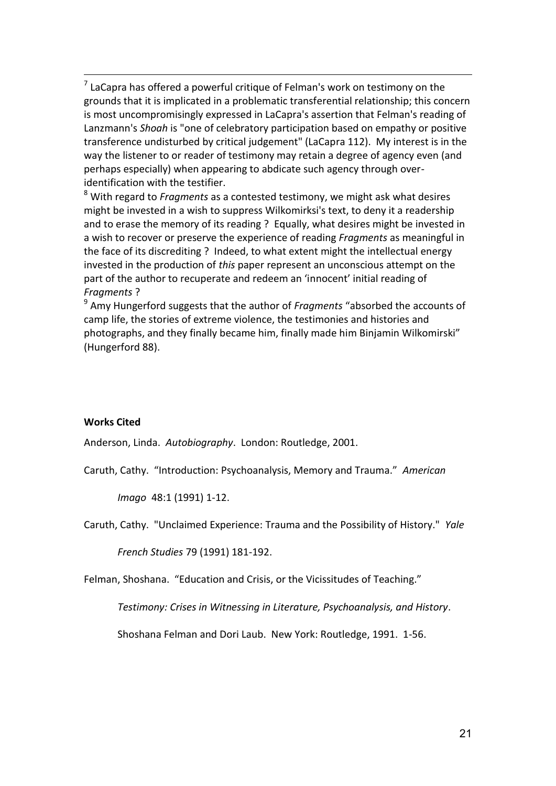$<sup>7</sup>$  LaCapra has offered a powerful critique of Felman's work on testimony on the</sup> grounds that it is implicated in a problematic transferential relationship; this concern is most uncompromisingly expressed in LaCapra's assertion that Felman's reading of Lanzmann's *Shoah* is "one of celebratory participation based on empathy or positive transference undisturbed by critical judgement" (LaCapra 112). My interest is in the way the listener to or reader of testimony may retain a degree of agency even (and perhaps especially) when appearing to abdicate such agency through overidentification with the testifier.

8 With regard to *Fragments* as a contested testimony, we might ask what desires might be invested in a wish to suppress Wilkomirksi's text, to deny it a readership and to erase the memory of its reading ? Equally, what desires might be invested in a wish to recover or preserve the experience of reading *Fragments* as meaningful in the face of its discrediting ? Indeed, to what extent might the intellectual energy invested in the production of *this* paper represent an unconscious attempt on the part of the author to recuperate and redeem an 'innocent' initial reading of *Fragments* ?

9 Amy Hungerford suggests that the author of *Fragments* "absorbed the accounts of camp life, the stories of extreme violence, the testimonies and histories and photographs, and they finally became him, finally made him Binjamin Wilkomirski" (Hungerford 88).

# **Works Cited**

1

Anderson, Linda. *Autobiography*. London: Routledge, 2001.

Caruth, Cathy. "Introduction: Psychoanalysis, Memory and Trauma." *American* 

*Imago* 48:1 (1991) 1-12.

Caruth, Cathy. "Unclaimed Experience: Trauma and the Possibility of History." *Yale* 

*French Studies* 79 (1991) 181-192.

Felman, Shoshana. "Education and Crisis, or the Vicissitudes of Teaching."

*Testimony: Crises in Witnessing in Literature, Psychoanalysis, and History*.

Shoshana Felman and Dori Laub. New York: Routledge, 1991. 1-56.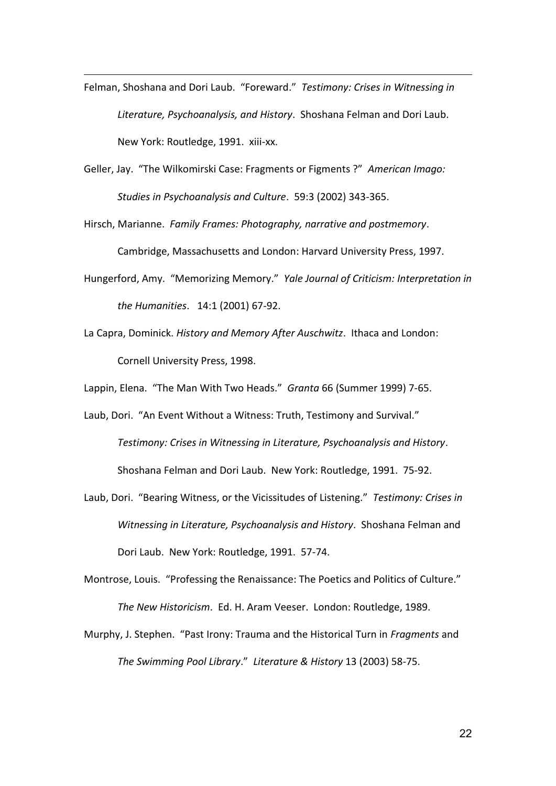Felman, Shoshana and Dori Laub. "Foreward." *Testimony: Crises in Witnessing in Literature, Psychoanalysis, and History*. Shoshana Felman and Dori Laub. New York: Routledge, 1991. xiii-xx.

1

- Geller, Jay. "The Wilkomirski Case: Fragments or Figments ?" *American Imago: Studies in Psychoanalysis and Culture*. 59:3 (2002) 343-365.
- Hirsch, Marianne. *Family Frames: Photography, narrative and postmemory*.

Cambridge, Massachusetts and London: Harvard University Press, 1997.

- Hungerford, Amy. "Memorizing Memory." *Yale Journal of Criticism: Interpretation in the Humanities*. 14:1 (2001) 67-92.
- La Capra, Dominick. *History and Memory After Auschwitz*. Ithaca and London: Cornell University Press, 1998.

Lappin, Elena. "The Man With Two Heads." *Granta* 66 (Summer 1999) 7-65.

Laub, Dori. "An Event Without a Witness: Truth, Testimony and Survival." *Testimony: Crises in Witnessing in Literature, Psychoanalysis and History*. Shoshana Felman and Dori Laub. New York: Routledge, 1991. 75-92.

- Laub, Dori. "Bearing Witness, or the Vicissitudes of Listening." *Testimony: Crises in Witnessing in Literature, Psychoanalysis and History*. Shoshana Felman and Dori Laub. New York: Routledge, 1991. 57-74.
- Montrose, Louis. "Professing the Renaissance: The Poetics and Politics of Culture." *The New Historicism*. Ed. H. Aram Veeser. London: Routledge, 1989.
- Murphy, J. Stephen. "Past Irony: Trauma and the Historical Turn in *Fragments* and *The Swimming Pool Library*." *Literature & History* 13 (2003) 58-75.